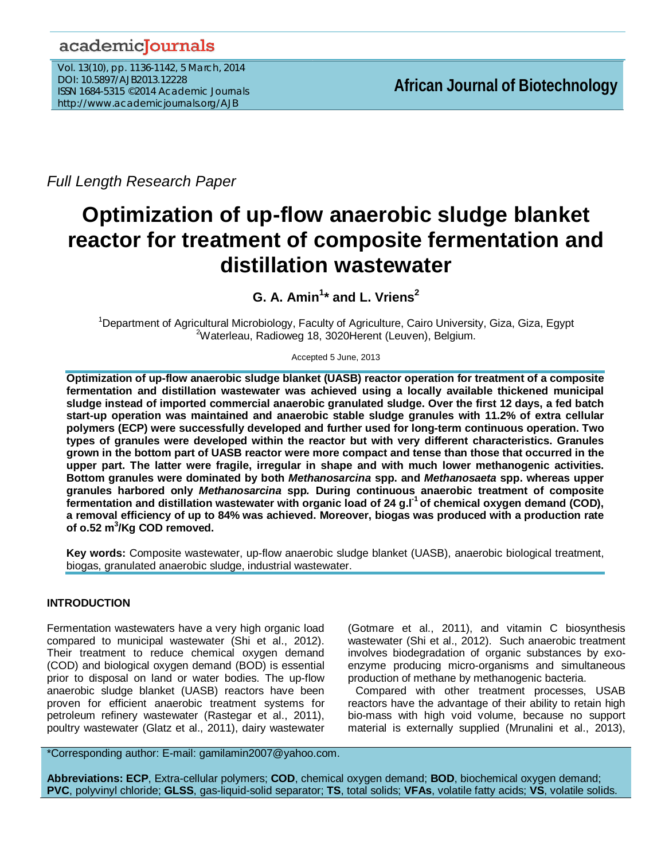# academicJournals

Vol. 13(10), pp. 1136-1142, 5 March, 2014 DOI: 10.5897/AJB2013.12228 ISSN 1684-5315 ©2014 Academic Journals http://www.academicjournals.org/AJB

*Full Length Research Paper*

# **Optimization of up-flow anaerobic sludge blanket reactor for treatment of composite fermentation and distillation wastewater**

**G. A. Amin1 \* and L. Vriens<sup>2</sup>**

<sup>1</sup>Department of Agricultural Microbiology, Faculty of Agriculture, Cairo University, Giza, Giza, Egypt<br><sup>2</sup>Weterlesus Bodiouse 18, 2020Herent (Lauven), Bolgium <sup>2</sup>Waterleau, Radioweg 18, 3020Herent (Leuven), Belgium.

Accepted 5 June, 2013

**Optimization of up-flow anaerobic sludge blanket (UASB) reactor operation for treatment of a composite fermentation and distillation wastewater was achieved using a locally available thickened municipal sludge instead of imported commercial anaerobic granulated sludge. Over the first 12 days, a fed batch start-up operation was maintained and anaerobic stable sludge granules with 11.2% of extra cellular polymers (ECP) were successfully developed and further used for long-term continuous operation. Two types of granules were developed within the reactor but with very different characteristics. Granules grown in the bottom part of UASB reactor were more compact and tense than those that occurred in the upper part. The latter were fragile, irregular in shape and with much lower methanogenic activities. Bottom granules were dominated by both** *Methanosarcina* **spp. and** *Methanosaeta* **spp. whereas upper granules harbored only** *Methanosarcina* **spp***.* **During continuous anaerobic treatment of composite fermentation and distillation wastewater with organic load of 24 g.l-1 of chemical oxygen demand (COD), a removal efficiency of up to 84% was achieved. Moreover, biogas was produced with a production rate of o.52 m3 /Kg COD removed.**

**Key words:** Composite wastewater, up-flow anaerobic sludge blanket (UASB), anaerobic biological treatment, biogas, granulated anaerobic sludge, industrial wastewater.

# **INTRODUCTION**

Fermentation wastewaters have a very high organic load compared to municipal wastewater (Shi et al., 2012). Their treatment to reduce chemical oxygen demand (COD) and biological oxygen demand (BOD) is essential prior to disposal on land or water bodies. The up-flow anaerobic sludge blanket (UASB) reactors have been proven for efficient anaerobic treatment systems for petroleum refinery wastewater (Rastegar et al., 2011), poultry wastewater (Glatz et al., 2011), dairy wastewater

(Gotmare et al., 2011), and vitamin C biosynthesis wastewater (Shi et al., 2012). Such anaerobic treatment involves biodegradation of organic substances by exoenzyme producing micro-organisms and simultaneous production of methane by methanogenic bacteria.

Compared with other treatment processes, USAB reactors have the advantage of their ability to retain high bio-mass with high void volume, because no support material is externally supplied (Mrunalini et al., 2013),

\*Corresponding author: E-mail: gamilamin2007@yahoo.com.

**Abbreviations: ECP**, Extra-cellular polymers; **COD**, chemical oxygen demand; **BOD**, biochemical oxygen demand; **PVC**, polyvinyl chloride; **GLSS**, gas-liquid-solid separator; **TS**, total solids; **VFAs**, volatile fatty acids; **VS**, volatile solids.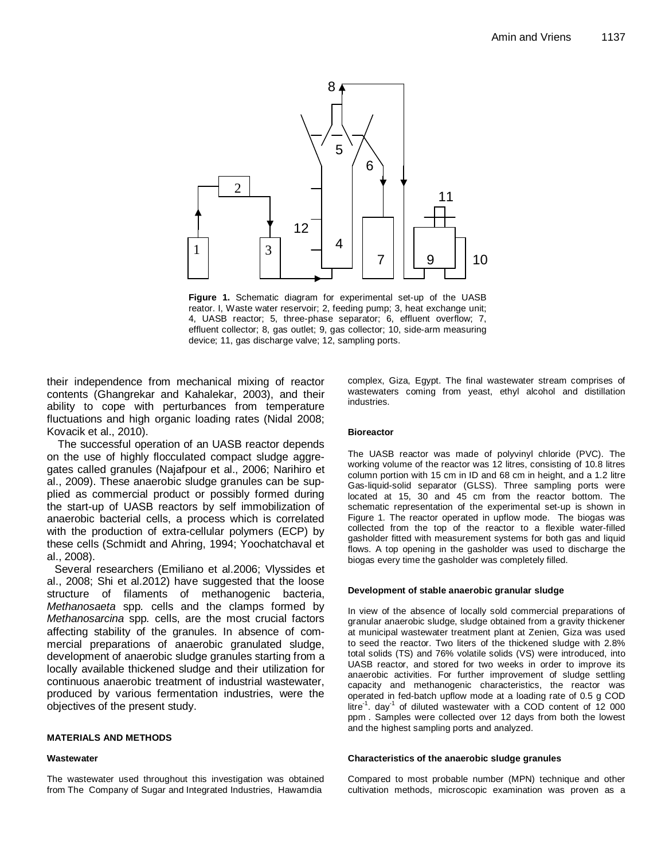

**Figure 1.** Schematic diagram for experimental set-up of the UASB reator. I, Waste water reservoir; 2, feeding pump; 3, heat exchange unit; 4, UASB reactor; 5, three-phase separator; 6, effluent overflow; 7, effluent collector; 8, gas outlet; 9, gas collector; 10, side-arm measuring device; 11, gas discharge valve; 12, sampling ports.

their independence from mechanical mixing of reactor contents (Ghangrekar and Kahalekar, 2003), and their ability to cope with perturbances from temperature fluctuations and high organic loading rates (Nidal 2008; Kovacik et al., 2010).

The successful operation of an UASB reactor depends on the use of highly flocculated compact sludge aggregates called granules (Najafpour et al., 2006; Narihiro et al., 2009). These anaerobic sludge granules can be supplied as commercial product or possibly formed during the start-up of UASB reactors by self immobilization of anaerobic bacterial cells, a process which is correlated with the production of extra-cellular polymers (ECP) by these cells (Schmidt and Ahring, 1994; Yoochatchaval et al., 2008).

Several researchers (Emiliano et al.2006; Vlyssides et al., 2008; Shi et al.2012) have suggested that the loose structure of filaments of methanogenic bacteria, *Methanosaeta* spp*.* cells and the clamps formed by *Methanosarcina* spp*.* cells, are the most crucial factors affecting stability of the granules. In absence of commercial preparations of anaerobic granulated sludge, development of anaerobic sludge granules starting from a locally available thickened sludge and their utilization for continuous anaerobic treatment of industrial wastewater, produced by various fermentation industries, were the objectives of the present study.

# **MATERIALS AND METHODS**

#### **Wastewater**

The wastewater used throughout this investigation was obtained from The Company of Sugar and Integrated Industries, Hawamdia

complex, Giza, Egypt. The final wastewater stream comprises of wastewaters coming from yeast, ethyl alcohol and distillation industries.

#### **Bioreactor**

The UASB reactor was made of polyvinyl chloride (PVC). The working volume of the reactor was 12 litres, consisting of 10.8 litres column portion with 15 cm in ID and 68 cm in height, and a 1.2 litre Gas-liquid-solid separator (GLSS). Three sampling ports were located at 15, 30 and 45 cm from the reactor bottom. The schematic representation of the experimental set-up is shown in Figure 1. The reactor operated in upflow mode. The biogas was collected from the top of the reactor to a flexible water-filled gasholder fitted with measurement systems for both gas and liquid flows. A top opening in the gasholder was used to discharge the biogas every time the gasholder was completely filled.

#### **Development of stable anaerobic granular sludge**

In view of the absence of locally sold commercial preparations of granular anaerobic sludge, sludge obtained from a gravity thickener at municipal wastewater treatment plant at Zenien, Giza was used to seed the reactor. Two liters of the thickened sludge with 2.8% total solids (TS) and 76% volatile solids (VS) were introduced, into UASB reactor, and stored for two weeks in order to improve its anaerobic activities. For further improvement of sludge settling capacity and methanogenic characteristics, the reactor was operated in fed-batch upflow mode at a loading rate of 0.5 g COD litre<sup>1</sup>. day<sup>-1</sup> of diluted wastewater with a COD content of 12 000 ppm . Samples were collected over 12 days from both the lowest and the highest sampling ports and analyzed.

#### **Characteristics of the anaerobic sludge granules**

Compared to most probable number (MPN) technique and other cultivation methods, microscopic examination was proven as a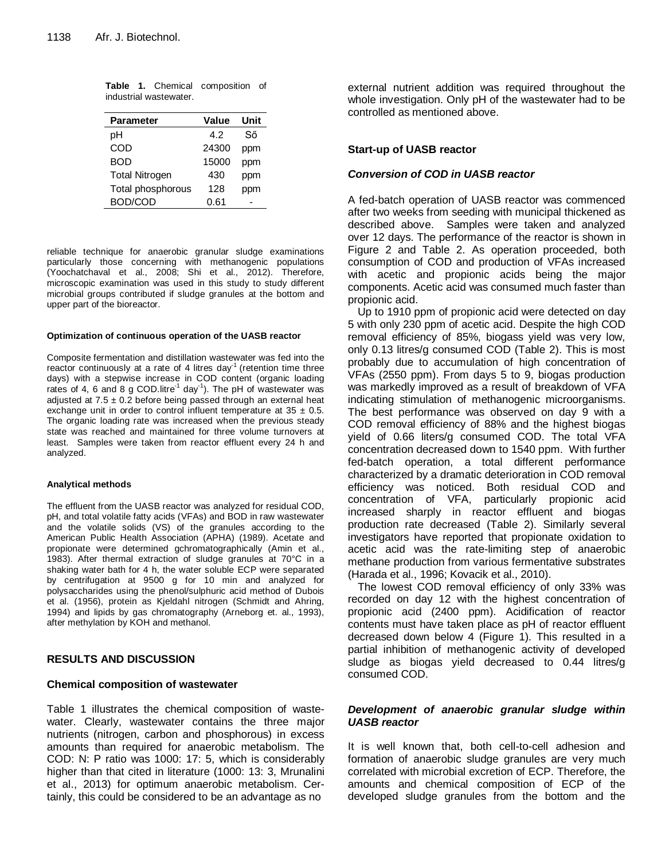|                        |  |  | Table 1. Chemical composition of |  |
|------------------------|--|--|----------------------------------|--|
| industrial wastewater. |  |  |                                  |  |

| <b>Parameter</b>      | <b>Value</b> | Unit |
|-----------------------|--------------|------|
| рH                    | 42           | Ső   |
| COD                   | 24300        | ppm  |
| <b>BOD</b>            | 15000        | ppm  |
| <b>Total Nitrogen</b> | 430          | ppm  |
| Total phosphorous     | 128          | ppm  |
| BOD/COD               | 0.61         |      |

reliable technique for anaerobic granular sludge examinations particularly those concerning with methanogenic populations (Yoochatchaval et al., 2008; Shi et al., 2012). Therefore, microscopic examination was used in this study to study different microbial groups contributed if sludge granules at the bottom and upper part of the bioreactor.

#### **Optimization of continuous operation of the UASB reactor**

Composite fermentation and distillation wastewater was fed into the reactor continuously at a rate of 4 litres day<sup>-1</sup> (retention time three days) with a stepwise increase in COD content (organic loading rates of 4, 6 and 8 g COD. litre<sup>-1</sup> day<sup>-1</sup>). The pH of wastewater was adjusted at  $7.5 \pm 0.2$  before being passed through an external heat exchange unit in order to control influent temperature at  $35 \pm 0.5$ . The organic loading rate was increased when the previous steady state was reached and maintained for three volume turnovers at least. Samples were taken from reactor effluent every 24 h and analyzed.

#### **Analytical methods**

The effluent from the UASB reactor was analyzed for residual COD, pH, and total volatile fatty acids (VFAs) and BOD in raw wastewater and the volatile solids (VS) of the granules according to the American Public Health Association (APHA) (1989). Acetate and propionate were determined gchromatographically (Amin et al., 1983). After thermal extraction of sludge granules at 70°C in a shaking water bath for 4 h, the water soluble ECP were separated by centrifugation at 9500 g for 10 min and analyzed for polysaccharides using the phenol/sulphuric acid method of Dubois et al. (1956), protein as Kjeldahl nitrogen (Schmidt and Ahring, 1994) and lipids by gas chromatography (Arneborg et. al., 1993), after methylation by KOH and methanol.

#### **RESULTS AND DISCUSSION**

#### **Chemical composition of wastewater**

Table 1 illustrates the chemical composition of wastewater. Clearly, wastewater contains the three major nutrients (nitrogen, carbon and phosphorous) in excess amounts than required for anaerobic metabolism. The COD: N: P ratio was 1000: 17: 5, which is considerably higher than that cited in literature (1000: 13: 3, Mrunalini et al., 2013) for optimum anaerobic metabolism. Certainly, this could be considered to be an advantage as no

external nutrient addition was required throughout the whole investigation. Only pH of the wastewater had to be controlled as mentioned above.

# **Start-up of UASB reactor**

#### *Conversion of COD in UASB reactor*

A fed-batch operation of UASB reactor was commenced after two weeks from seeding with municipal thickened as described above. Samples were taken and analyzed over 12 days. The performance of the reactor is shown in Figure 2 and Table 2. As operation proceeded, both consumption of COD and production of VFAs increased with acetic and propionic acids being the major components. Acetic acid was consumed much faster than propionic acid.

Up to 1910 ppm of propionic acid were detected on day 5 with only 230 ppm of acetic acid. Despite the high COD removal efficiency of 85%, biogass yield was very low, only 0.13 litres/g consumed COD (Table 2). This is most probably due to accumulation of high concentration of VFAs (2550 ppm). From days 5 to 9, biogas production was markedly improved as a result of breakdown of VFA indicating stimulation of methanogenic microorganisms. The best performance was observed on day 9 with a COD removal efficiency of 88% and the highest biogas yield of 0.66 liters/g consumed COD. The total VFA concentration decreased down to 1540 ppm. With further fed-batch operation, a total different performance characterized by a dramatic deterioration in COD removal efficiency was noticed. Both residual COD and concentration of VFA, particularly propionic acid increased sharply in reactor effluent and biogas production rate decreased (Table 2). Similarly several investigators have reported that propionate oxidation to acetic acid was the rate-limiting step of anaerobic methane production from various fermentative substrates (Harada et al., 1996; Kovacik et al., 2010).

The lowest COD removal efficiency of only 33% was recorded on day 12 with the highest concentration of propionic acid (2400 ppm). Acidification of reactor contents must have taken place as pH of reactor effluent decreased down below 4 (Figure 1). This resulted in a partial inhibition of methanogenic activity of developed sludge as biogas yield decreased to 0.44 litres/g consumed COD.

# *Development of anaerobic granular sludge within UASB reactor*

It is well known that, both cell-to-cell adhesion and formation of anaerobic sludge granules are very much correlated with microbial excretion of ECP. Therefore, the amounts and chemical composition of ECP of the developed sludge granules from the bottom and the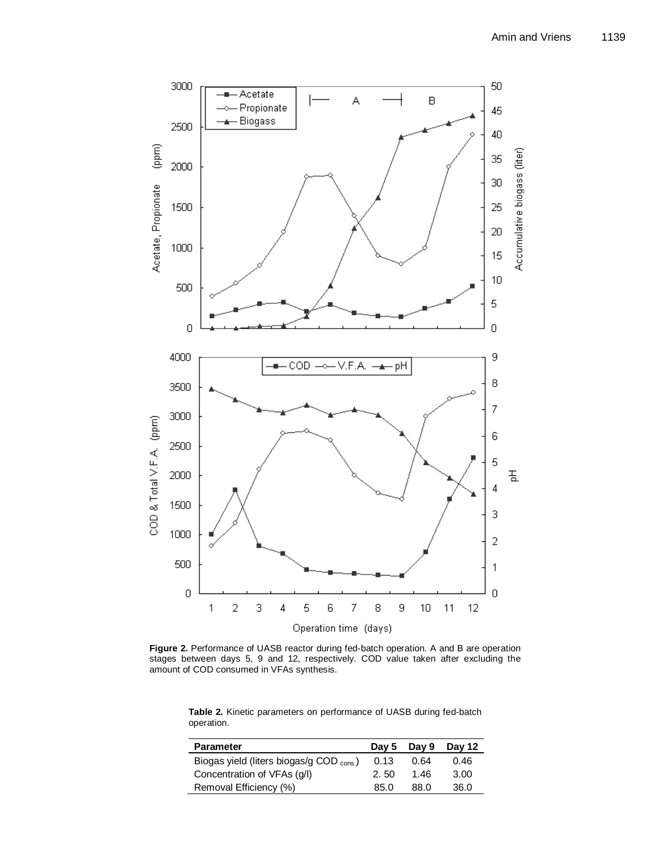

**Figure 2.** Performance of UASB reactor during fed-batch operation. A and B are operation stages between days 5, 9 and 12, respectively. COD value taken after excluding the stages between days 5, 5 and 12, respect<br>amount of COD consumed in VFAs synthesis.

**Table 2.** Kinetic parameters on performance of UASB during fed-batch operation.

| <b>Parameter</b>                         |      | Day 5 Day $9$ | Day 12 |
|------------------------------------------|------|---------------|--------|
| Biogas yield (liters biogas/g COD cons.) | 0.13 | 0.64          | 0.46   |
| Concentration of VFAs (q/l)              | 2.50 | 1.46          | 3.00   |
| Removal Efficiency (%)                   | 85.0 | 88 O          | 36.0   |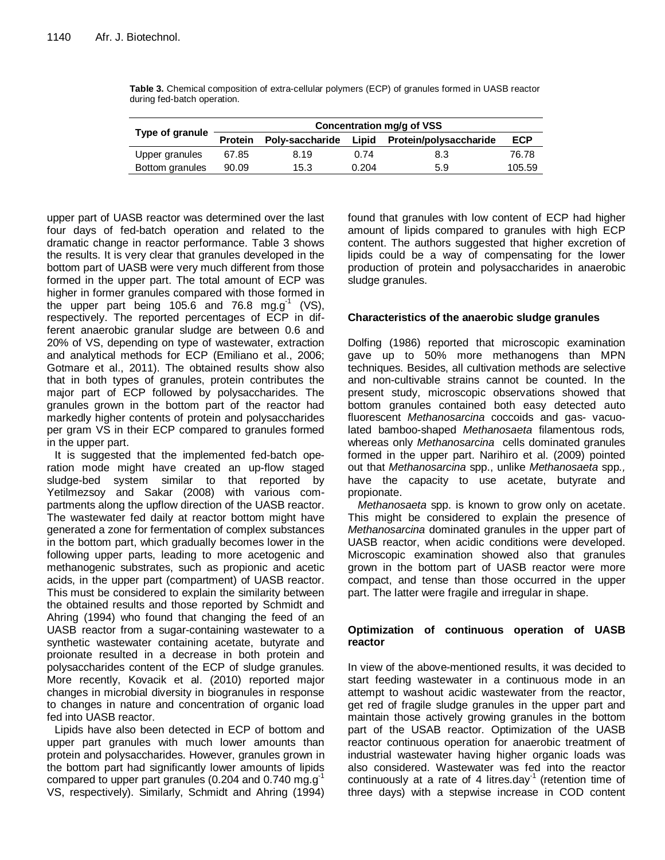| Type of granule | Concentration mg/g of VSS |                 |       |                        |            |  |
|-----------------|---------------------------|-----------------|-------|------------------------|------------|--|
|                 | <b>Protein</b>            | Poly-saccharide | Lipid | Protein/polysaccharide | <b>ECP</b> |  |
| Upper granules  | 67.85                     | 8.19            | 0.74  | 8.3                    | 76.78      |  |
| Bottom granules | 90.09                     | 15.3            | 0.204 | 5.9                    | 105.59     |  |

**Table 3.** Chemical composition of extra-cellular polymers (ECP) of granules formed in UASB reactor during fed-batch operation.

upper part of UASB reactor was determined over the last four days of fed-batch operation and related to the dramatic change in reactor performance. Table 3 shows the results. It is very clear that granules developed in the bottom part of UASB were very much different from those formed in the upper part. The total amount of ECP was higher in former granules compared with those formed in the upper part being 105.6 and 76.8 mg.g<sup>-1</sup> (VS), respectively. The reported percentages of ECP in different anaerobic granular sludge are between 0.6 and 20% of VS, depending on type of wastewater, extraction and analytical methods for ECP (Emiliano et al., 2006; Gotmare et al., 2011). The obtained results show also that in both types of granules, protein contributes the major part of ECP followed by polysaccharides. The granules grown in the bottom part of the reactor had markedly higher contents of protein and polysaccharides per gram VS in their ECP compared to granules formed in the upper part.

It is suggested that the implemented fed-batch operation mode might have created an up-flow staged sludge-bed system similar to that reported by Yetilmezsoy and Sakar (2008) with various compartments along the upflow direction of the UASB reactor. The wastewater fed daily at reactor bottom might have generated a zone for fermentation of complex substances in the bottom part, which gradually becomes lower in the following upper parts, leading to more acetogenic and methanogenic substrates, such as propionic and acetic acids, in the upper part (compartment) of UASB reactor. This must be considered to explain the similarity between the obtained results and those reported by Schmidt and Ahring (1994) who found that changing the feed of an UASB reactor from a sugar-containing wastewater to a synthetic wastewater containing acetate, butyrate and proionate resulted in a decrease in both protein and polysaccharides content of the ECP of sludge granules. More recently, Kovacik et al. (2010) reported major changes in microbial diversity in biogranules in response to changes in nature and concentration of organic load fed into UASB reactor.

Lipids have also been detected in ECP of bottom and upper part granules with much lower amounts than protein and polysaccharides. However, granules grown in the bottom part had significantly lower amounts of lipids compared to upper part granules (0.204 and 0.740 mg.g<sup>-1</sup> VS, respectively). Similarly, Schmidt and Ahring (1994)

found that granules with low content of ECP had higher amount of lipids compared to granules with high ECP content. The authors suggested that higher excretion of lipids could be a way of compensating for the lower production of protein and polysaccharides in anaerobic sludge granules.

# **Characteristics of the anaerobic sludge granules**

Dolfing (1986) reported that microscopic examination gave up to 50% more methanogens than MPN techniques. Besides, all cultivation methods are selective and non-cultivable strains cannot be counted. In the present study, microscopic observations showed that bottom granules contained both easy detected auto fluorescent *Methanosarcina* coccoids and gas- vacuolated bamboo-shaped *Methanosaeta* filamentous rods*,*  whereas only *Methanosarcina* cells dominated granules formed in the upper part. Narihiro et al. (2009) pointed out that *Methanosarcina* spp., unlike *Methanosaeta* spp*.,* have the capacity to use acetate, butyrate and propionate.

*Methanosaeta* spp. is known to grow only on acetate. This might be considered to explain the presence of *Methanosarcina* dominated granules in the upper part of UASB reactor, when acidic conditions were developed. Microscopic examination showed also that granules grown in the bottom part of UASB reactor were more compact, and tense than those occurred in the upper part. The latter were fragile and irregular in shape.

# **Optimization of continuous operation of UASB reactor**

In view of the above-mentioned results, it was decided to start feeding wastewater in a continuous mode in an attempt to washout acidic wastewater from the reactor, get red of fragile sludge granules in the upper part and maintain those actively growing granules in the bottom part of the USAB reactor. Optimization of the UASB reactor continuous operation for anaerobic treatment of industrial wastewater having higher organic loads was also considered. Wastewater was fed into the reactor continuously at a rate of 4 litres.day $<sup>-1</sup>$  (retention time of</sup> three days) with a stepwise increase in COD content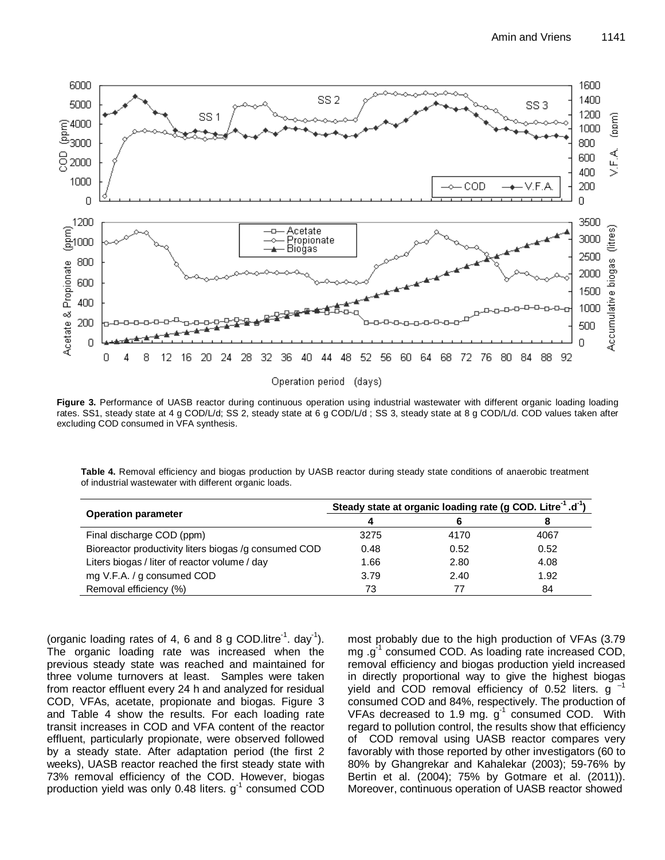

**Figure 3.** Performance of UASB reactor during continuous operation using industrial wastewater with different organic loading loading rates. SS1, steady state at 4 g COD/L/d; SS 2, steady state at 6 g COD/L/d ; SS 3, steady state at 8 g COD/L/d. COD values taken after excluding COD consumed in VFA synthesis.

**Table 4.** Removal efficiency and biogas production by UASB reactor during steady state conditions of anaerobic treatment of industrial wastewater with different organic loads.

|                                                       | Steady state at organic loading rate (g COD. Litre <sup>-1</sup> .d <sup>-1</sup> ) |      |      |  |
|-------------------------------------------------------|-------------------------------------------------------------------------------------|------|------|--|
| <b>Operation parameter</b>                            | 4                                                                                   |      | 8    |  |
| Final discharge COD (ppm)                             | 3275                                                                                | 4170 | 4067 |  |
| Bioreactor productivity liters biogas /g consumed COD | 0.48                                                                                | 0.52 | 0.52 |  |
| Liters biogas / liter of reactor volume / day         | 1.66                                                                                | 2.80 | 4.08 |  |
| mg V.F.A. / g consumed COD                            | 3.79                                                                                | 2.40 | 1.92 |  |
| Removal efficiency (%)                                | 73                                                                                  |      | 84   |  |

(organic loading rates of 4, 6 and 8 g COD.litre<sup>-1</sup>. day<sup>-1</sup>). The organic loading rate was increased when the previous steady state was reached and maintained for three volume turnovers at least. Samples were taken from reactor effluent every 24 h and analyzed for residual COD, VFAs, acetate, propionate and biogas. Figure 3 and Table 4 show the results. For each loading rate transit increases in COD and VFA content of the reactor effluent, particularly propionate, were observed followed by a steady state. After adaptation period (the first 2 weeks), UASB reactor reached the first steady state with 73% removal efficiency of the COD. However, biogas production yield was only 0.48 liters.  $g^{-1}$  consumed COD

most probably due to the high production of VFAs (3.79 mg .g<sup>-1</sup> consumed COD. As loading rate increased COD, removal efficiency and biogas production yield increased in directly proportional way to give the highest biogas yield and COD removal efficiency of 0.52 liters. g consumed COD and 84%, respectively. The production of VFAs decreased to 1.9 mg.  $g^{-1}$  consumed COD. With regard to pollution control, the results show that efficiency of COD removal using UASB reactor compares very favorably with those reported by other investigators (60 to 80% by Ghangrekar and Kahalekar (2003); 59-76% by Bertin et al. (2004); 75% by Gotmare et al. (2011)). Moreover, continuous operation of UASB reactor showed